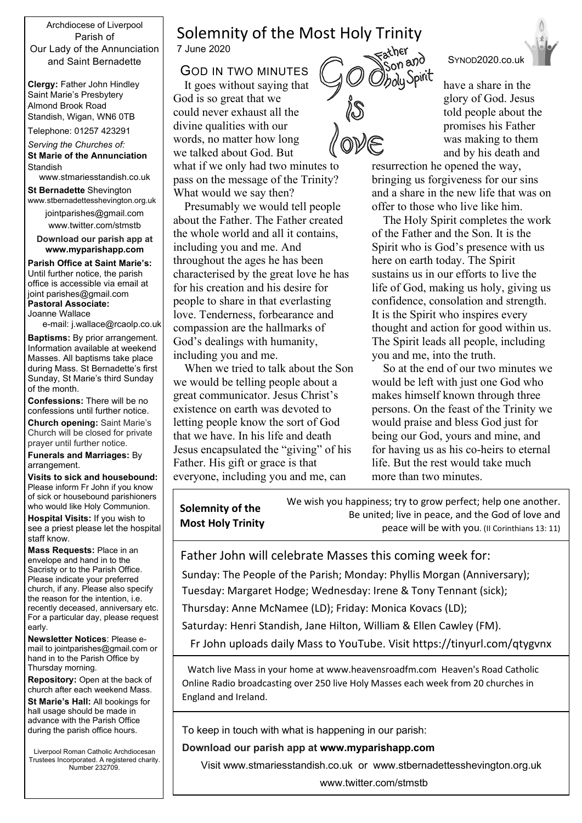Archdiocese of Liverpool Parish of Our Lady of the Annunciation and Saint Bernadette

**Clergy:** Father John Hindley Saint Marie's Presbytery Almond Brook Road Standish, Wigan, WN6 0TB

Telephone: 01257 423291

*Serving the Churches of:* **St Marie of the Annunciation Standish** 

www.stmariesstandish.co.uk

**St Bernadette** Shevington www.stbernadettesshevington.org.uk

> [jointparishes@gmail.com](mailto:jointparishes@gmail.com) www.twitter.com/stmstb

**Download our parish app at [www.myparishapp.com](http://www.myparishapp.com/)**

**Parish Office at Saint Marie's:** Until further notice, the parish office is accessible via email at joint parishes@gmail.com **Pastoral Associate:**

Joanne Wallace

e-mail: [j.wallace@rcaolp.co.uk](mailto:j.wallace@rcaolp.co.uk)

**Baptisms:** By prior arrangement. Information available at weekend Masses. All baptisms take place during Mass. St Bernadette's first Sunday, St Marie's third Sunday of the month.

**Confessions:** There will be no confessions until further notice.

**Church opening:** Saint Marie's Church will be closed for private prayer until further notice.

**Funerals and Marriages:** By arrangement.

**Visits to sick and housebound:** Please inform Fr John if you know of sick or housebound parishioners who would like Holy Communion.

**Hospital Visits:** If you wish to see a priest please let the hospital staff know.

**Mass Requests:** Place in an envelope and hand in to the Sacristy or to the Parish Office. Please indicate your preferred church, if any. Please also specify the reason for the intention, i.e. recently deceased, anniversary etc. For a particular day, please request early.

**Newsletter Notices**: Please email to [jointparishes@gmail.com](mailto:jointparishes@gmail.com) or hand in to the Parish Office by Thursday morning.

**Repository:** Open at the back of church after each weekend Mass.

**St Marie's Hall:** All bookings for hall usage should be made in advance with the Parish Office during the parish office hours.

Liverpool Roman Catholic Archdiocesan Trustees Incorporated. A registered charity. Number 232709.

# Solemnity of the Most Holy Trinity

7 June 2020

GOD IN TWO MINUTES

It goes without saying that God is so great that we could never exhaust all the divine qualities with our words, no matter how long we talked about God. But what if we only had two minutes to pass on the message of the Trinity? What would we say then?

Presumably we would tell people about the Father. The Father created the whole world and all it contains, including you and me. And throughout the ages he has been characterised by the great love he has for his creation and his desire for people to share in that everlasting love. Tenderness, forbearance and compassion are the hallmarks of God's dealings with humanity, including you and me.

When we tried to talk about the Son we would be telling people about a great communicator. Jesus Christ's existence on earth was devoted to letting people know the sort of God that we have. In his life and death Jesus encapsulated the "giving" of his Father. His gift or grace is that everyone, including you and me, can



resurrection he opened the way, bringing us forgiveness for our sins and a share in the new life that was on offer to those who live like him.

The Holy Spirit completes the work

So at the end of our two minutes we would be left with just one God who makes himself known through three persons. On the feast of the Trinity we would praise and bless God just for being our God, yours and mine, and for having us as his co-heirs to eternal life. But the rest would take much

**Solemnity of the Most Holy Trinity** We wish you happiness; try to grow perfect: help one another. Be united; live in peace, and the God of love and peace will be with you. (II Corinthians 13: 11)

Father John will celebrate Masses this coming week for:

Sunday: The People of the Parish; Monday: Phyllis Morgan (Anniversary);

Tuesday: Margaret Hodge; Wednesday: Irene & Tony Tennant (sick);

Thursday: Anne McNamee (LD); Friday: Monica Kovacs (LD);

Saturday: Henri Standish, Jane Hilton, William & Ellen Cawley (FM).

Fr John uploads daily Mass to YouTube. Visit<https://tinyurl.com/qtygvnx>

Watch live Mass in your home at [www.heavensroadfm.com](http://www.heavensroadfm.com/) Heaven's Road Catholic Online Radio broadcasting over 250 live [Holy Masse](https://heavensroadfm.us8.list-manage.com/track/click?u=d38121f6f94c20187a6dda8f3&id=6145594783&e=ff49e478a7)s each week from 20 churches in England and Ireland.

To keep in touch with what is happening in our parish:

## **Download our parish app at [www.myparishapp.com](http://www.myparishapp.com/)**

Visit www.stmariesstandish.co.uk or www.stbernadettesshevington.org.uk

www.twitter.com/stmstb



SYNOD2020.co.ul

have a share in the glory of God. Jesus told people about the promises his Father was making to them and by his death and

of the Father and the Son. It is the Spirit who is God's presence with us here on earth today. The Spirit sustains us in our efforts to live the life of God, making us holy, giving us confidence, consolation and strength. It is the Spirit who inspires every thought and action for good within us. The Spirit leads all people, including you and me, into the truth.

more than two minutes.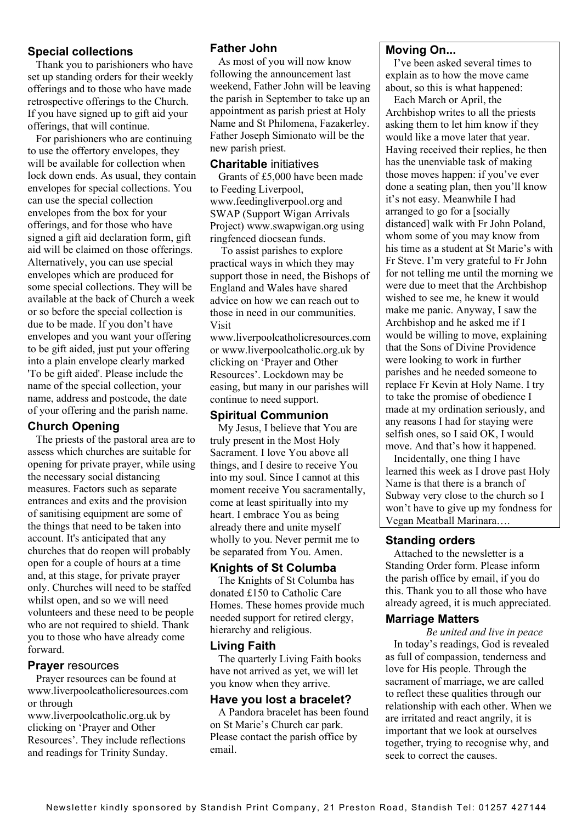## **Special collections**

Thank you to parishioners who have set up standing orders for their weekly offerings and to those who have made retrospective offerings to the Church. If you have signed up to gift aid your offerings, that will continue.

For parishioners who are continuing to use the offertory envelopes, they will be available for collection when lock down ends. As usual, they contain envelopes for special collections. You can use the special collection envelopes from the box for your offerings, and for those who have signed a gift aid declaration form, gift aid will be claimed on those offerings. Alternatively, you can use special envelopes which are produced for some special collections. They will be available at the back of Church a week or so before the special collection is due to be made. If you don't have envelopes and you want your offering to be gift aided, just put your offering into a plain envelope clearly marked 'To be gift aided'. Please include the name of the special collection, your name, address and postcode, the date of your offering and the parish name.

## **Church Opening**

The priests of the pastoral area are to assess which churches are suitable for opening for private prayer, while using the necessary social distancing measures. Factors such as separate entrances and exits and the provision of sanitising equipment are some of the things that need to be taken into account. It's anticipated that any churches that do reopen will probably open for a couple of hours at a time and, at this stage, for private prayer only. Churches will need to be staffed whilst open, and so we will need volunteers and these need to be people who are not required to shield. Thank you to those who have already come forward.

#### **Prayer** resources

Prayer resources can be found at [www.liverpoolcatholicresources.com](http://www.liverpoolcatholicresources.com/) or through

[www.liverpoolcatholic.org.uk](http://www.liverpoolcatholic.org.uk/) by clicking on 'Prayer and Other Resources'. They include reflections and readings for Trinity Sunday.

## **Father John**

As most of you will now know following the announcement last weekend, Father John will be leaving the parish in September to take up an appointment as parish priest at Holy Name and St Philomena, Fazakerley. Father Joseph Simionato will be the new parish priest.

#### **Charitable** initiatives

Grants of £5,000 have been made to Feeding Liverpool, [www.feedingliverpool.org](http://www.feedingliverpool.org/) and SWAP (Support Wigan Arrivals Project) [www.swapwigan.org](http://www.swapwigan.org/) using ringfenced diocsean funds.

To assist parishes to explore practical ways in which they may support those in need, the Bishops of England and Wales have shared advice on how we can reach out to those in need in our communities. Visit

[www.liverpoolcatholicresources.com](http://www.liverpoolcatholicresources.com/) or [www.liverpoolcatholic.org.uk](http://www.liverpoolcatholic.org.uk/) by clicking on 'Prayer and Other Resources'. Lockdown may be easing, but many in our parishes will continue to need support.

## **Spiritual Communion**

My Jesus, I believe that You are truly present in the Most Holy Sacrament. I love You above all things, and I desire to receive You into my soul. Since I cannot at this moment receive You sacramentally, come at least spiritually into my heart. I embrace You as being already there and unite myself wholly to you. Never permit me to be separated from You. Amen.

#### **Knights of St Columba**

The Knights of St Columba has donated £150 to Catholic Care Homes. These homes provide much needed support for retired clergy, hierarchy and religious.

## **Living Faith**

The quarterly Living Faith books have not arrived as yet, we will let you know when they arrive.

#### **Have you lost a bracelet?**

A Pandora bracelet has been found on St Marie's Church car park. Please contact the parish office by email.

### **Moving On...**

I've been asked several times to explain as to how the move came about, so this is what happened:

Each March or April, the Archbishop writes to all the priests asking them to let him know if they would like a move later that year. Having received their replies, he then has the unenviable task of making those moves happen: if you've ever done a seating plan, then you'll know it's not easy. Meanwhile I had arranged to go for a [socially distanced] walk with Fr John Poland, whom some of you may know from his time as a student at St Marie's with Fr Steve. I'm very grateful to Fr John for not telling me until the morning we were due to meet that the Archbishop wished to see me, he knew it would make me panic. Anyway, I saw the Archbishop and he asked me if I would be willing to move, explaining that the Sons of Divine Providence were looking to work in further parishes and he needed someone to replace Fr Kevin at Holy Name. I try to take the promise of obedience I made at my ordination seriously, and any reasons I had for staying were selfish ones, so I said OK, I would move. And that's how it happened.

Incidentally, one thing I have learned this week as I drove past Holy Name is that there is a branch of Subway very close to the church so I won't have to give up my fondness for Vegan Meatball Marinara….

#### **Standing orders**

Attached to the newsletter is a Standing Order form. Please inform the parish office by email, if you do this. Thank you to all those who have already agreed, it is much appreciated.

#### **Marriage Matters**

 *Be united and live in peace* In today's readings, God is revealed as full of compassion, tenderness and love for His people. Through the sacrament of marriage, we are called to reflect these qualities through our relationship with each other. When we are irritated and react angrily, it is important that we look at ourselves together, trying to recognise why, and seek to correct the causes.